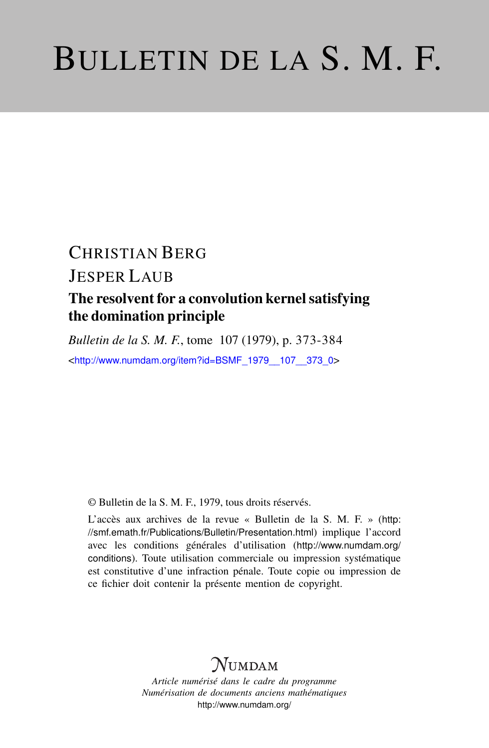# BULLETIN DE LA S. M. F.

## CHRISTIAN BERG JESPER LAUB The resolvent for a convolution kernel satisfying the domination principle

*Bulletin de la S. M. F.*, tome 107 (1979), p. 373-384 <[http://www.numdam.org/item?id=BSMF\\_1979\\_\\_107\\_\\_373\\_0](http://www.numdam.org/item?id=BSMF_1979__107__373_0)>

© Bulletin de la S. M. F., 1979, tous droits réservés.

L'accès aux archives de la revue « Bulletin de la S. M. F. » ([http:](http://smf.emath.fr/Publications/Bulletin/Presentation.html) [//smf.emath.fr/Publications/Bulletin/Presentation.html](http://smf.emath.fr/Publications/Bulletin/Presentation.html)) implique l'accord avec les conditions générales d'utilisation ([http://www.numdam.org/](http://www.numdam.org/conditions) [conditions](http://www.numdam.org/conditions)). Toute utilisation commerciale ou impression systématique est constitutive d'une infraction pénale. Toute copie ou impression de ce fichier doit contenir la présente mention de copyright.

## NUMDAM

*Article numérisé dans le cadre du programme Numérisation de documents anciens mathématiques* <http://www.numdam.org/>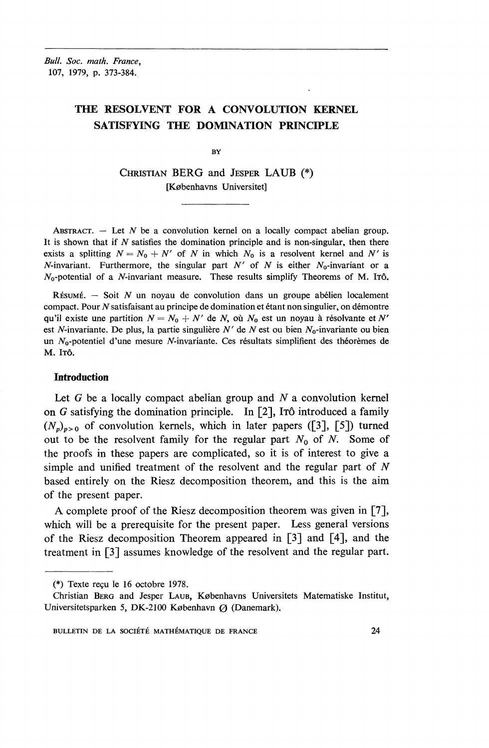*Bull. Soc. math. France^* 107, 1979, p. 373-384.

### **THE RESOLVENT FOR A CONVOLUTION KERNEL SATISFYING THE DOMINATION PRINCIPLE**

**BY** 

CHRISTIAN BERG and JESPER LAUB (\*) [Kobenhavns Universitet]

ABSTRACT. - Let N be a convolution kernel on a locally compact abelian group. **It** is shown that if *N* satisfies the domination principle and is non-singular, then there exists a splitting  $N = N_0 + N'$  of N in which  $N_0$  is a resolvent kernel and N' is N-invariant. Furthermore, the singular part  $N'$  of N is either N<sub>0</sub>-invariant or a  $N_0$ -potential of a *N*-invariant measure. These results simplify Theorems of M. ITÔ.

 $R$ *isumi*. - Soit  $N$  un noyau de convolution dans un groupe abélien localement compact. Pour  $N$  satisfaisant au principe de domination et étant non singulier, on démontre qu'il existe une partition  $N = N_0 + N'$  de N, où  $N_0$  est un noyau à résolvante et N' est *N*-invariante. De plus, la partie singulière *N'* de *N* est ou bien  $N_0$ -invariante ou bien un  $N_0$ -potentiel d'une mesure N-invariante. Ces résultats simplifient des théorèmes de M. ITÔ.

#### **Introduction**

Let *G* be a locally compact abelian group and *N* a convolution kernel on *G* satisfying the domination principle. In [2], ITO introduced a family  $(N_p)_{p>0}$  of convolution kernels, which in later papers ([3], [5]) turned out to be the resolvent family for the regular part  $N_0$  of N. Some of the proofs in these papers are complicated, so it is of interest to give a simple and unified treatment of the resolvent and the regular part of *N* based entirely on the Riesz decomposition theorem, and this is the aim of the present paper.

A complete proof of the Riesz decomposition theorem was given in [7], which will be a prerequisite for the present paper. Less general versions of the Riesz decomposition Theorem appeared in [3] and [4], and the treatment in [3] assumes knowledge of the resolvent and the regular part.

<sup>(\*)</sup> Texte recu Ie 16 octobre 1978.

Christian BERG and Jesper LAUB, Kobenhavns Universitets Matematiske Institut, Universitetsparken 5, DK-2100 København  $\varnothing$  (Danemark).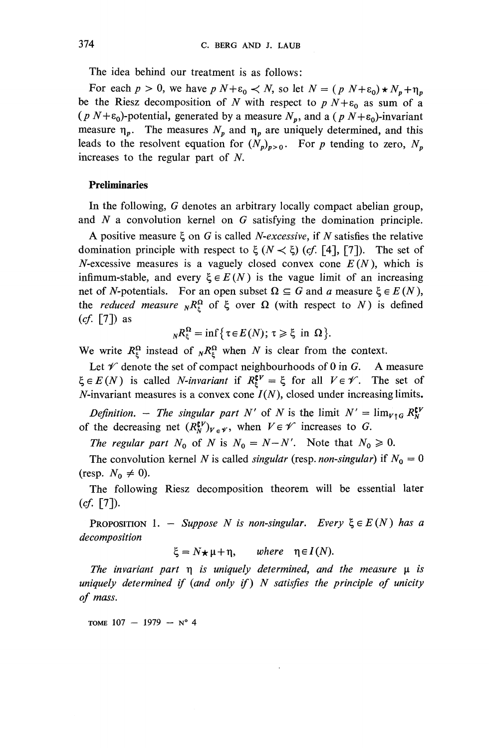The idea behind our treatment is as follows:

For each  $p > 0$ , we have  $p N + \varepsilon_0 < N$ , so let  $N = (p N + \varepsilon_0) \star N_p + \eta_p$ be the Riesz decomposition of N with respect to  $p N + \varepsilon_0$  as sum of a  $(p N + \varepsilon_0)$ -potential, generated by a measure  $N_p$ , and a  $(p N + \varepsilon_0)$ -invariant measure  $\eta_p$ . The measures  $N_p$  and  $\eta_p$  are uniquely determined, and this leads to the resolvent equation for  $(N_p)_{p>0}$ . For *p* tending to zero,  $N_p$ increases to the regular part of *N.*

#### **Preliminaries**

In the following, *G* denotes an arbitrary locally compact abelian group, and *N* a convolution kernel on *G* satisfying the domination principle.

A positive measure  $\xi$  on G is called *N-excessive*, if N satisfies the relative domination principle with respect to  $\xi$  ( $N \lt \xi$ ) (cf. [4], [7]). The set of N-excessive measures is a vaguely closed convex cone  $E(N)$ , which is infimum-stable, and every  $\xi \in E(N)$  is the vague limit of an increasing net of *N*-potentials. For an open subset  $\Omega \subseteq G$  and *a* measure  $\xi \in E(N)$ , the *reduced measure*  $_{N}R^{\Omega}_{\varepsilon}$  of  $\xi$  over  $\Omega$  (with respect to *N*) is defined *(cf.* [7]) as

$$
{}_{N}R_{\xi}^{\Omega} = \inf \{ \tau \in E(N); \tau \geq \xi \text{ in } \Omega \}.
$$

We write  $R^{\Omega}_{\xi}$  instead of  $_{N}R^{\Omega}_{\xi}$  when *N* is clear from the context.

Let  $\mathscr V$  denote the set of compact neighbourhoods of 0 in G. A measure  $\xi \in E(N)$  is called *N-invariant* if  $R^{\mathfrak{p} \mathfrak{p}} = \xi$  for all  $V \in \mathcal{V}$ . The set of N-invariant measures is a convex cone  $I(N)$ , closed under increasing limits.

*Definition. – The singular part N'* of *N* is the limit  $N' = \lim_{V \uparrow G} R_V^{\mathsf{CV}}$ of the decreasing net  $(R^{\mathbf{F}}_N)_{V\in\mathcal{V}}$ , when  $V\in\mathcal{V}$  increases to *G*.

*The regular part*  $N_0$  of  $N$  is  $N_0 = N - N'$ . Note that  $N_0 \ge 0$ .

The convolution kernel N is called *singular* (resp. *non-singular*) if  $N_0 = 0$ (resp.  $N_0 \neq 0$ ).

The following Riesz decomposition theorem will be essential later *(cf.* [7]).

PROPOSITION 1. - *Suppose N is non-singular. Every*  $\xi \in E(N)$  *has a decomposition*

 $\xi = N_{\star} \mu + \eta$ , where  $\eta \in I(N)$ .

*The invariant part*  $\eta$  *is uniquely determined, and the measure*  $\mu$  *is uniquely determined if (and only if) N satisfies the principle of unicity of mass.*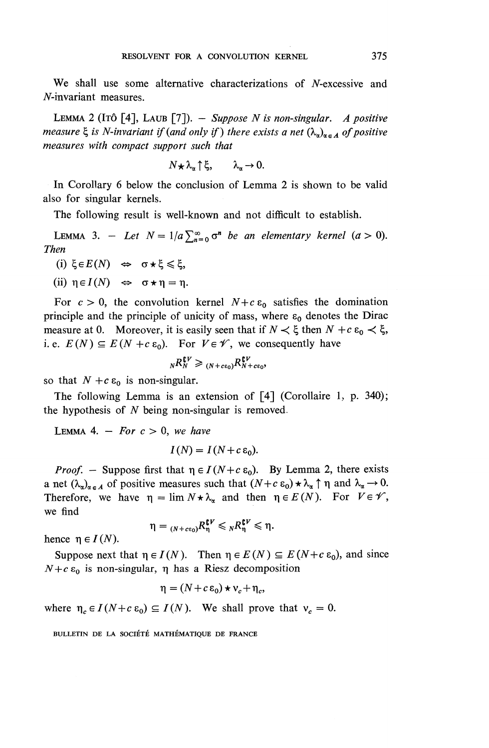We shall use some alternative characterizations of  $N$ -excessive and N-invariant measures.

LEMMA 2 (ITO [4], LAUB [7]). — *Suppose N is non-singular. A positive measure*  $\zeta$  *is N-invariant if (and only if) there exists a net*  $(\lambda_n)_{n \in A}$  *of positive measures with compact support such that*

$$
N\star\lambda_{\alpha}\uparrow\xi,\qquad\lambda_{\alpha}\to 0.
$$

**In** Corollary 6 below the conclusion of Lemma 2 is shown to be valid also for singular kernels.

The following result is well-known and not difficult to establish.

LEMMA 3. - Let  $N=1/a\sum_{n=0}^{\infty} \sigma^n$  *be an elementary kernel (a > 0). Then*

- (i)  $\xi \in E(N) \Leftrightarrow \sigma \star \xi \leq \xi$ ,
- (ii)  $\eta \in I(N) \iff \sigma \star \eta = \eta$ .

For  $c > 0$ , the convolution kernel  $N + c \varepsilon_0$  satisfies the domination principle and the principle of unicity of mass, where  $\varepsilon_0$  denotes the Dirac measure at 0. Moreover, it is easily seen that if  $N \lt \xi$  then  $N + c \varepsilon_0 \lt \xi$ , *i.e.*  $E(N) \subseteq E(N + c \epsilon_0)$ . For  $V \in \mathscr{V}$ , we consequently have

$$
{}_{N}R_{N}^{\mathfrak{c}V}\geq{}_{(N+c\epsilon_{0})}R_{N+c\epsilon_{0}}^{\mathfrak{c}V},
$$

so that  $N + c \varepsilon_0$  is non-singular.

The following Lemma is an extension of [4] (Corollaire 1, p. 340); the hypothesis of *N* being non-singular is removed.

LEMMA 4.  $-$  For  $c > 0$ , we have

$$
I(N) = I(N + c \varepsilon_0).
$$

*Proof.* – Suppose first that  $\eta \in I(N+c\epsilon_0)$ . By Lemma 2, there exists a net  $(\lambda_{\alpha})_{\alpha \in A}$  of positive measures such that  $(N+c \varepsilon_0) \star \lambda_{\alpha} \uparrow \eta$  and  $\lambda_{\alpha} \rightarrow 0$ . Therefore, we have  $\eta = \lim_{N \to \infty} N \star \lambda_{\alpha}$  and then  $\eta \in E(N)$ . For  $V \in \mathcal{V}$ , we find

$$
\eta = {}_{(N+cc_0)}R^{\mathfrak{C}V}_{\eta} \leqslant {}_{N}R^{\mathfrak{C}V}_{\eta} \leqslant \eta.
$$

hence  $\eta \in I(N)$ .

Suppose next that  $\eta \in I(N)$ . Then  $\eta \in E(N) \subseteq E(N+c \epsilon_0)$ , and since  $N+c\epsilon_0$  is non-singular,  $\eta$  has a Riesz decomposition

$$
\eta = (N + c \varepsilon_0) \star v_c + \eta_c,
$$

where  $\eta_c \in I(N+c\epsilon_0) \subseteq I(N)$ . We shall prove that  $v_c = 0$ .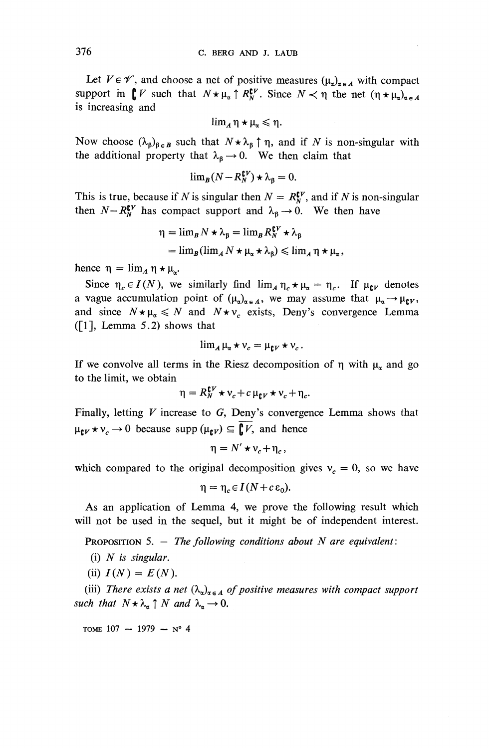Let  $V \in \mathscr{V}$ , and choose a net of positive measures  $(\mu_{\alpha})_{\alpha \in A}$  with compact support in  $\int_{\mathbb{R}} V$  such that  $N \star \mu_{\alpha} \uparrow R_N^{\mathfrak{e} \nu}$ . Since  $N \prec \eta$  the net  $(\eta \star \mu_{\alpha})_{\alpha \in A}$ is increasing and

$$
\lim_{A}\eta\star\mu_{\alpha}\leqslant\eta.
$$

Now choose  $(\lambda_{\beta})_{\beta \in B}$  such that  $N \star \lambda_{\beta} \uparrow \eta$ , and if N is non-singular with the additional property that  $\lambda_{\beta} \rightarrow 0$ . We then claim that

$$
\lim_{B} (N - R_N^{\mathbf{C}V}) \star \lambda_{\beta} = 0.
$$

This is true, because if N is singular then  $N = R_N^{\{V\}}$ , and if N is non-singular then  $N-R_N^{\mathfrak{tr}}$  has compact support and  $\lambda_{\beta} \to 0$ . We then have

$$
\eta = \lim_{B} N \star \lambda_{\beta} = \lim_{B} R_{N}^{\mathfrak{e}V} \star \lambda_{\beta}
$$
  
= 
$$
\lim_{B} (\lim_{A} N \star \mu_{\alpha} \star \lambda_{\beta}) \leqslant \lim_{A} \eta \star \mu_{\alpha},
$$

hence  $\eta = \lim_{A} \eta * \mu_{\alpha}$ .

Since  $\eta_c \in I(N)$ , we similarly find  $\lim_{A} \eta_c \star \mu_\alpha = \eta_c$ . If  $\mu_{\mathfrak{e}V}$  denotes a vague accumulation point of  $(\mu_\alpha)_{\alpha \in A}$ , we may assume that  $\mu_\alpha \to \mu_\mathfrak{e}$ and since  $N \star \mu_{\alpha} \leq N$  and  $N \star v_c$  exists, Deny's convergence Lemma  $([1],$  Lemma 5.2) shows that

$$
\lim_{A} \mu_{\alpha} \star v_c = \mu_{\mathbf{U}V} \star v_c.
$$

If we convolve all terms in the Riesz decomposition of  $\eta$  with  $\mu_{\alpha}$  and go to the limit, we obtain

$$
\eta = R_N^{\mathfrak{e}V} \star v_c + c \mu_{\mathfrak{e}V} \star v_c + \eta_c.
$$

Finally, letting *V* increase to *G,* Deny's convergence Lemma shows that Finally, letting  $V$  increase to  $G$ , Deny's convergently  $\mu_{\mathbf{t}} v \star v_c \to 0$  because supp  $(\mu_{\mathbf{t}} v) \subseteq \overline{\mathbf{t}} V$ , and hence

$$
\eta = N' \star v_c + \eta_c,
$$

which compared to the original decomposition gives  $v_c = 0$ , so we have

$$
\eta = \eta_c \in I(N + c \epsilon_0).
$$

As an application of Lemma 4, we prove the following result which will not be used in the sequel, but it might be of independent interest.

PROPOSITION 5. — *The following conditions about N are equivalent:*

- (i) *N is singular.*
- (ii)  $I(N) = E(N)$ .

(iii) There exists a net  $(\lambda_a)_{a \in A}$  of positive measures with compact support **PROPOSITION 5.**  $-$  *The following cond.*<br>
(i) *N is singular.*<br>
(ii)  $I(N) = E(N)$ .<br>
(iii) *There exists a net*  $(\lambda_{\alpha})_{\alpha \in A}$  *of posit such that*  $N \star \lambda_{\alpha} \uparrow N$  *and*  $\lambda_{\alpha} \rightarrow 0$ .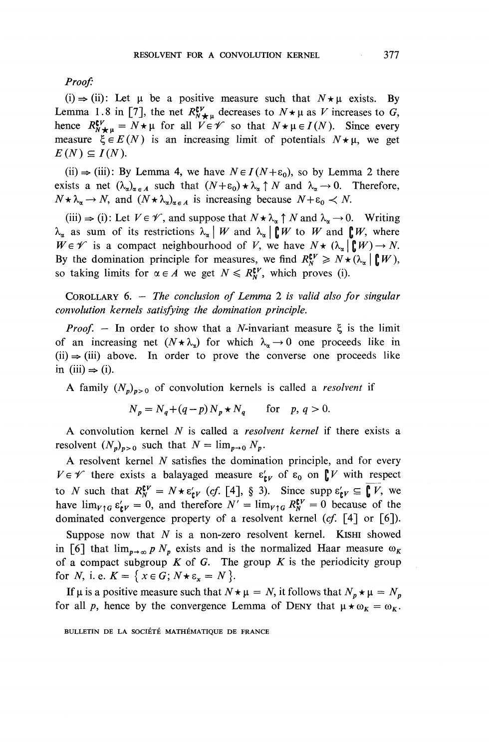*Proof:*

(i)  $\Rightarrow$  (ii): Let  $\mu$  be a positive measure such that  $N \star \mu$  exists. By Lemma 1.8 in [7], the net  $R^{IV}_{N\star\mu}$  decreases to  $N\star\mu$  as V increases to G, hence  $R_{N+\mu}^{\mathbf{F}V} = N \star \mu$  for all  $V \in \mathcal{V}$  so that  $N \star \mu \in I(N)$ *.* Since every measure  $\xi \in E(N)$  is an increasing limit of potentials  $N \star \mu$ , we get  $E(N) \subseteq I(N)$ .

(ii)  $\Rightarrow$  (iii): By Lemma 4, we have  $N \in I(N+\epsilon_0)$ , so by Lemma 2 there exists a net  $(\lambda_{\alpha})_{\alpha \in A}$  such that  $(N+\varepsilon_0) \star \lambda_{\alpha} \uparrow N$  and  $\lambda_{\alpha} \to 0$ . Therefore,  $N \star \lambda_{\alpha} \rightarrow N$ , and  $(N \star \lambda_{\alpha})_{\alpha \in A}$  is increasing because  $N+\varepsilon_0 \prec N$ .

 $(iii) \Rightarrow (i)$ : Let  $V \in \mathscr{V}$ , and suppose that  $N \star \lambda_{\alpha} \uparrow N$  and  $\lambda_{\alpha} \rightarrow 0$ . Writing  $\lambda_{\alpha}$  as sum of its restrictions  $\lambda_{\alpha} \mid W$  and  $\lambda_{\alpha} \mid \mathbf{F}^{\prime} W$  to W and  $\mathbf{F}^{\prime} W$ , where  $W \in \mathscr{V}$  is a compact neighbourhood of V, we have  $N \star (\lambda_{\alpha} | \mathbf{F} \mid W) \to N$ . By the domination principle for measures, we find  $R_N^{\mathfrak{e}V} \geq N \star (\lambda_\alpha \mid \mathfrak{g}W)$ , so taking limits for  $\alpha \in A$  we get  $N \leqslant R_N^{\mathfrak{c} V}$ , which proves (i).

COROLLARY 6. — *The conclusion of Lemma* 2 *is valid also for singular convolution kernels satisfying the domination principle.*

*Proof.* – In order to show that a *N*-invariant measure  $\xi$  is the limit of an increasing net  $(N \star \lambda_{\alpha})$  for which  $\lambda_{\alpha} \to 0$  one proceeds like in  $(ii) \Rightarrow (iii)$  above. In order to prove the converse one proceeds like in (iii)  $\Rightarrow$  (i).

A family  $(N_p)_{p>0}$  of convolution kernels is called a *resolvent* if

$$
N_p = N_q + (q - p) N_p \star N_q \quad \text{for} \quad p, q > 0.
$$

A convolution kernel *N* is called a *resolvent kernel* if there exists a resolvent  $(N_p)_{p>0}$  such that  $N = \lim_{p\to 0} N_p$ .

A resolvent kernel *N* satisfies the domination principle, and for every  $V \in \mathscr{V}$  there exists a balayaged measure  $\varepsilon'_{\text{r} \nu}$  of  $\varepsilon_0$  on  $\mathbf{r} \nu$  with respect to *N* such that  $R_N^{\mathbf{C}V} = N \star \epsilon_{\mathbf{C}V}^{\prime}$  (cf. [4], § 3). Since supp  $\epsilon_{\mathbf{C}V}^{\prime} \subseteq \mathbf{C} V$ , we have  $\lim_{\gamma \uparrow 6} \varepsilon_{\mathbf{k}y}^{\prime} = 0$ , and therefore  $N' = \lim_{\gamma \uparrow 6} R_{N}^{\mathbf{k}y} = 0$  because of the dominated convergence property of a resolvent kernel *(cf.* [4] or [6]).

Suppose now that *N* is a non-zero resolvent kernel. KISHI showed in [6] that  $\lim_{p\to\infty}p N_p$  exists and is the normalized Haar measure  $\omega_K$ of a compact subgroup  $K$  of  $G$ . The group  $K$  is the periodicity group for *N*, i. e.  $K = \{ x \in G; N \star \varepsilon_x = N \}.$ 

If  $\mu$  is a positive measure such that  $N \star \mu = N$ , it follows that  $N_p \star \mu = N_p$ for all p, hence by the convergence Lemma of DENY that  $\mu * \omega_K = \omega_K$ .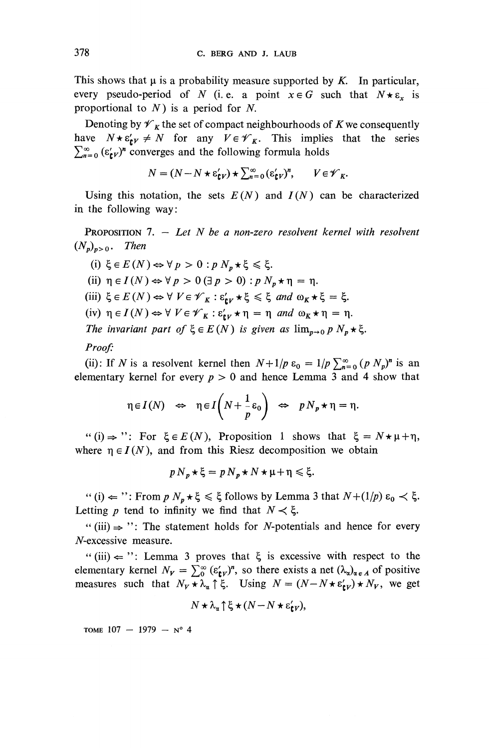This shows that  $\mu$  is a probability measure supported by  $K$ . In particular, every pseudo-period of N (i.e. a point  $x \in G$  such that  $N \star \varepsilon_x$  is proportional to *N )* is a period for *N.*

Denoting by  $\mathscr{V}_K$  the set of compact neighbourhoods of *K* we consequently have  $N \star \varepsilon'_{\mathbf{r}y} \neq N$  for any  $V \in \mathscr{V}_{K}$ . This implies that the series  $\sum_{n=0}^{\infty}$  ( $\varepsilon_{\text{F}}^{\prime}$ )<sup>n</sup> converges and the following formula holds

$$
N = (N - N \star \varepsilon_{\mathbf{t}V}^{\prime}) \star \sum_{n=0}^{\infty} (\varepsilon_{\mathbf{t}V}^{\prime})^n, \qquad V \in \mathscr{V}_K.
$$

Using this notation, the sets  $E(N)$  and  $I(N)$  can be characterized in the following way:

PROPOSITION 7. — *Let N be a non-zero resolvent kernel with resolvent*  $(N_p)_{p>0}$ . Then

\n- (i) 
$$
\xi \in E(N) \Leftrightarrow \forall p > 0 : p N_p \star \xi \leq \xi
$$
.
\n- (ii)  $\eta \in I(N) \Leftrightarrow \forall p > 0$   $(\exists p > 0) : p N_p \star \eta = \eta$ .
\n- (iii)  $\xi \in E(N) \Leftrightarrow \forall V \in \mathcal{V}_K : \varepsilon'_{\mathbf{i}V} \star \xi \leq \xi$  and  $\omega_K \star \xi = \xi$ .
\n- (iv)  $\eta \in I(N) \Leftrightarrow \forall V \in \mathcal{V}_K : \varepsilon'_{\mathbf{i}V} \star \eta = \eta$  and  $\omega_K \star \eta = \eta$ .
\n- The invariant part of  $\xi \in E(N)$  is given as  $\lim_{p \to 0} p N_p \star \xi$ .
\n

#### *Proof:*

(ii): If N is a resolvent kernel then  $N+1/p \varepsilon_0 = 1/p \sum_{n=0}^{\infty} (p N_p)^n$  is an elementary kernel for every *p >* 0 and hence Lemma 3 and 4 show that

$$
\eta \in I(N) \Leftrightarrow \eta \in I\left(N + \frac{1}{p}\varepsilon_0\right) \Leftrightarrow p N_p \star \eta = \eta.
$$

"(i)  $\Rightarrow$  ": For  $\xi \in E(N)$ , Proposition 1 shows that  $\xi = N \star \mu + \eta$ , where  $\eta \in I(N)$ , and from this Riesz decomposition we obtain

$$
p N_p \star \xi = p N_p \star N \star \mu + \eta \leq \xi.
$$

 $f''(i) \leftarrow$ ": From  $p N_p \star \xi \leq \xi$  follows by Lemma 3 that  $N+(1/p)$   $\varepsilon_0 \prec \xi$ . Letting p tend to infinity we find that  $N \lt \xi$ .

"(iii)  $\Rightarrow$  ": The statement holds for *N*-potentials and hence for every  $N$ -excessive measure.

"(iii)  $\Leftarrow$  ": Lemma 3 proves that  $\xi$  is excessive with respect to the "(iii)  $\Leftarrow$  ": Lemma 3 proves that  $\xi$  is excessive with respect to the elementary kernel  $N_V = \sum_{0}^{\infty} (\epsilon'_{\mathbf{t}V})^n$ , so there exists a net  $(\lambda_u)_{\alpha \in A}$  of positive measures such that  $N_V \star \lambda_\alpha \uparrow \xi$ . Using  $N = (N - N \star \epsilon'_{\epsilon V}) \star N_V$ , we get

$$
N \star \lambda_{\alpha} \uparrow \xi \star (N - N \star \varepsilon'_{\mathbf{f}V}),
$$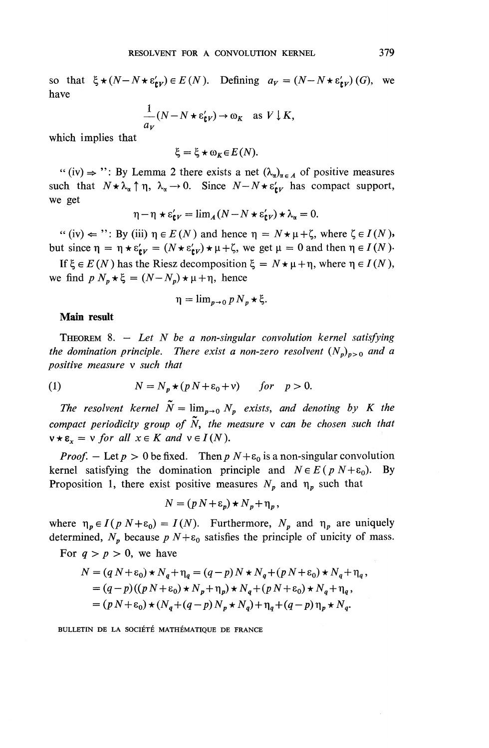so that  $\xi * (N - N * \varepsilon'_{\text{tr}}) \in E (N)$ . Defining  $a_V = (N - N * \varepsilon'_{\text{tr}}) (G)$ , we have

$$
\frac{1}{a_V}(N - N \star \varepsilon'_{\mathbf{t}V}) \to \omega_K \quad \text{as } V \downarrow K,
$$

**which implies that**

$$
\xi = \xi \star \omega_K \in E(N).
$$

"(iv)  $\Rightarrow$  ": By Lemma 2 there exists a net  $(\lambda_{\alpha})_{\alpha \in A}$  of positive measure such that  $N \star \lambda_{\alpha} \uparrow \eta$ ,  $\lambda_{\alpha} \rightarrow 0$ . Since  $N-N \star \varepsilon'_{\alpha V}$  has compact support, we get

$$
\eta - \eta \star \varepsilon_{\mathbf{t}V}^{\prime} = \lim_{A} (N - N \star \varepsilon_{\mathbf{t}V}^{\prime}) \star \lambda_{\alpha} = 0.
$$

" (iv)  $\Leftarrow$  ": By (iii)  $\eta \in E(N)$  and hence  $\eta = N \star \mu + \zeta$ , where  $\zeta \in I(N)$ , but since  $\eta = \eta * \varepsilon'_{\text{r}v} = (N * \varepsilon'_{\text{r}v}) * \mu + \zeta$ , we get  $\mu = 0$  and then  $\eta \in I(N)$ .

If  $\xi \in E(N)$  has the Riesz decomposition  $\xi = N \star \mu + \eta$ , where  $\eta \in I(N)$ , we find  $p N_p \star \xi = (N - N_p) \star \mu + \eta$ , hence

$$
\eta = \lim_{p \to 0} p N_p \star \xi.
$$

#### **Main result**

THEOREM 8. — *Let N be a non-singular convolution kernel satisfying the domination principle. There exist a non-zero resolvent*  $(N_p)_{p>0}$  *and a positive measure v such that*

(1) 
$$
N = N_p \star (p N + \varepsilon_0 + v) \quad for \quad p > 0.
$$

*The resolvent kernel*  $\tilde{N} = \lim_{p\to 0} N_p$  *exists, and denoting by K the compact periodicity group of N, the measure v can be chosen such that*  $v \star \varepsilon_x = v$  *for all*  $x \in K$  *and*  $v \in I(N)$ .

*Proof.* – Let  $p > 0$  be fixed. Then  $p N + \varepsilon_0$  is a non-singular convolution kernel satisfying the domination principle and  $N \in E(p \mid N+\varepsilon_0)$ . By Proposition 1, there exist positive measures  $N_p$  and  $\eta_p$  such that

$$
N = (p N + \varepsilon_p) \star N_p + \eta_p,
$$

where  $\eta_p \in I(p \mid N+\varepsilon_0) = I(N)$ . Furthermore,  $N_p$  and  $\eta_p$  are uniquely determined,  $N_p$  because  $p N+\varepsilon_0$  satisfies the principle of unicity of mass.

For  $q > p > 0$ , we have

$$
N = (q N + \varepsilon_0) \star N_q + \eta_q = (q - p) N \star N_q + (p N + \varepsilon_0) \star N_q + \eta_q,
$$
  
=  $(q - p)((p N + \varepsilon_0) \star N_p + \eta_p) \star N_q + (p N + \varepsilon_0) \star N_q + \eta_q,$   
=  $(p N + \varepsilon_0) \star (N_q + (q - p) N_p \star N_q) + \eta_q + (q - p) \eta_p \star N_q.$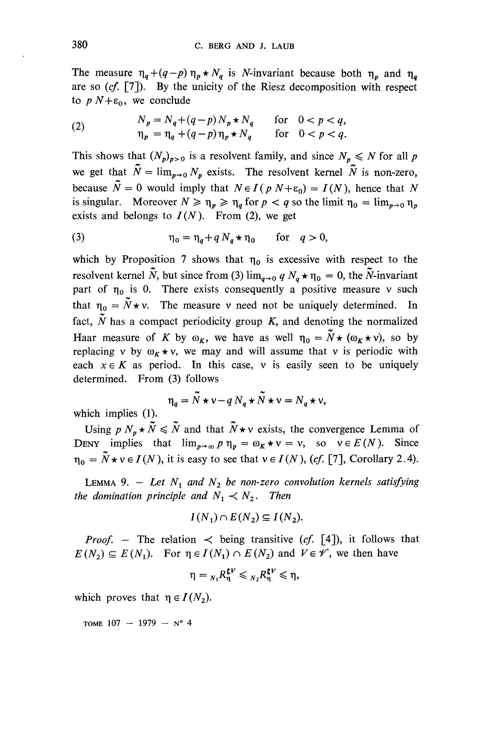The measure  $\eta_q + (q-p) \eta_p \star N_q$  is N-invariant because both  $\eta_p$  and  $\eta_q$ are so *{cf.* [7]). By the unicity of the Riesz decomposition with respect to  $p N+\varepsilon_0$ , we conclude

(2) 
$$
N_p = N_q + (q-p)N_p \star N_q \quad \text{for} \quad 0 < p < q, \n\eta_p = \eta_q + (q-p)\eta_p \star N_q \quad \text{for} \quad 0 < p < q.
$$

This shows that  $(N_p)_{p>0}$  is a resolvent family, and since  $N_p \le N$  for all p we get that  $\tilde{N} = \lim_{p\to 0} N_p$  exists. The resolvent kernel  $\tilde{N}$  is non-zero, because  $\tilde{N} = 0$  would imply that  $N \in I(p \mid N+\varepsilon_0) = I(N)$ , hence that N is singular. Moreover  $N \geq \eta_n \geq \eta_q$  for  $p < q$  so the limit  $\eta_0 = \lim_{n \to 0} \eta_n$ exists and belongs to  $I(N)$ . From (2), we get

(3) 
$$
\eta_0 = \eta_q + q N_q \star \eta_0 \quad \text{for} \quad q > 0,
$$

which by Proposition 7 shows that  $\eta_0$  is excessive with respect to the resolvent kernel  $\tilde{N}$ , but since from (3)  $\lim_{q\to 0} q N_q * \eta_0 = 0$ , the  $\tilde{N}$ -invariant part of  $\eta_0$  is 0. There exists consequently a positive measure v such that  $\eta_0 = \tilde{N} \star v$ . The measure v need not be uniquely determined. In fact,  $\tilde{N}$  has a compact periodicity group  $K$ , and denoting the normalized Haar measure of *K* by  $\omega_K$ , we have as well  $\eta_0 = \tilde{N} \star (\omega_K \star \nu)$ , so by replacing v by  $\omega_K \star v$ , we may and will assume that v is periodic with each  $x \in K$  as period. In this case, v is easily seen to be uniquely determined. From (3) follows

$$
\eta_q = \tilde{N} \star \nu - q N_q \star \tilde{N} \star \nu = N_q \star \nu,
$$

**which implies (1).**

Using  $p N_p \star \tilde{N} \leq \tilde{N}$  and that  $\tilde{N} \star v$  exists, the convergence Lemma of DENY implies that  $\lim_{p\to\infty} p\eta_p = \omega_K * v = v$ , so  $v \in E(N)$ *.* Since  $\eta_0 = \tilde{N} \star v \in I(N)$ , it is easy to see that  $v \in I(N)$ , (cf. [7], Corollary 2.4).

LEMMA 9. - Let  $N_1$  and  $N_2$  be non-zero convolution kernels satisfying *the domination principle and*  $N_1 \lt N_2$ . Then

$$
I(N_1) \cap E(N_2) \subseteq I(N_2).
$$

*Proof.* – The relation  $\prec$  being transitive (cf. [4]), it follows that  $E(N_2) \subseteq E(N_1)$ . For  $\eta \in I(N_1) \cap E(N_2)$  and  $V \in \mathscr{V}$ , we then have

$$
\eta = {}_{N_1}R_{\eta}^{\mathfrak{C}V} \leqslant {}_{N_2}R_{\eta}^{\mathfrak{C}V} \leqslant \eta,
$$

which proves that  $\eta \in I(N_2)$ .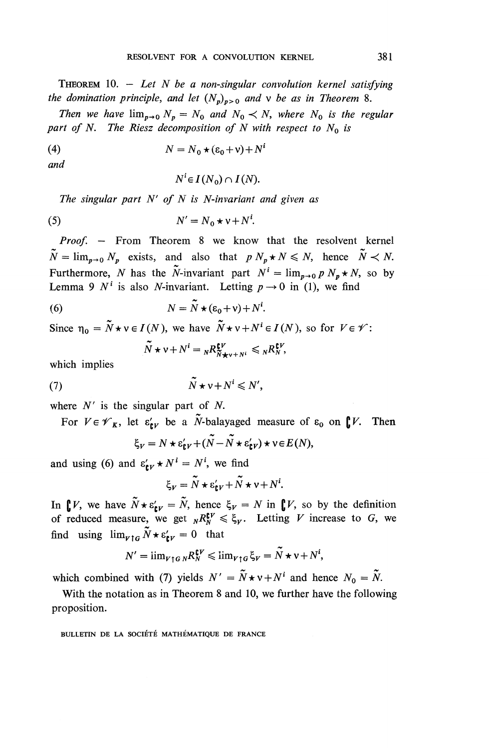THEOREM 10. — *Let N be a non-singular convolution kernel satisfying the domination principle, and let*  $(N_p)_{p>0}$  *and*  $\nu$  *be as in Theorem* 8.

*Then we have*  $\lim_{p\to 0} N_p = N_0$  *and*  $N_0 \lt N$ *, where*  $N_0$  *is the regular* part of N. The Riesz decomposition of N with respect to  $N_0$  is

(4) 
$$
N = N_0 \star (\varepsilon_0 + v) + N^i
$$

*and*

$$
N^i \in I(N_0) \cap I(N).
$$

*The singular part N ' of N is N-invariant and given as*

$$
(5) \t\t N' = N_0 \star v + N^i.
$$

*Proof, —* From Theorem 8 we know that the resolvent kernel  $\tilde{N} = \lim_{p \to 0} N_p$  exists, and also that  $p N_p \star N \le N$ , hence  $\tilde{N} \prec N$ . Furthermore, N has the N-invariant part  $N^i = \lim_{p\to 0} p N_p \star N$ , so by Lemma 9  $N^i$  is also N-invariant. Letting  $p \to 0$  in (1), we find

(6) 
$$
N = \widetilde{N} \star (\varepsilon_0 + v) + N^i.
$$

Since  $\eta_0 = \tilde{N} \star v \in I(N)$ , we have  $\tilde{N} \star v + N^i \in I(N)$ , so for  $V \in \mathcal{V}$ :

$$
\overline{N} \star \mathsf{v} + N^i = {}_N R^{\mathsf{CV}}_{\overline{N} \star \mathsf{v} + N^i} \leqslant {}_N R^{\mathsf{CV}}_{N},
$$

which implies

$$
\widetilde{N} \star \mathsf{v} + N^i \leqslant N',
$$

where  $N'$  is the singular part of  $N$ .

For  $V \in \mathscr{V}_k$ , let  $\varepsilon'_{\mathbf{k}V}$  be a  $\tilde{N}$ -balayaged measure of  $\varepsilon_0$  on  $\int_{\mathbf{k}} V$ . Then

$$
\xi_V = N \star \varepsilon'_{\mathbf{t}V} + (N - N \star \varepsilon'_{\mathbf{t}V}) \star \mathbf{v} \in E(N),
$$

and using (6) and  $\varepsilon'_{\mathbf{t}V} \star N^i = N^i$ , we find

$$
\xi_V = \tilde{N} \star \varepsilon'_{\mathbf{C}V} + \tilde{N} \star \mathbf{v} + N^i.
$$

In  $\int_{\mathbb{R}} V$ , we have  $\tilde{N} \star \varepsilon_{\mathfrak{k}V} = \tilde{N}$ , hence  $\xi_V = N$  in  $\int_{\mathbb{R}} V$ , so by the definition of reduced measure, we get  $_{N}R^{tV}_{N} \leq \xi_{V}$ . Letting *V* increase to *G*, we find using  $\lim_{\nu \uparrow G} \tilde{N} \star \varepsilon'_{\text{c}v} = 0$  that

$$
N' = \lim_{V \uparrow G} {}_N R_N^{\mathfrak{C}V} \leqslant \lim_{V \uparrow G} \xi_V = \widetilde{N} \star \nu + N^i,
$$

which combined with (7) yields  $N' = \tilde{N} \star v + N^i$  and hence  $N_0 = \tilde{N}$ .

With the notation as in Theorem 8 and 10, we further have the following proposition.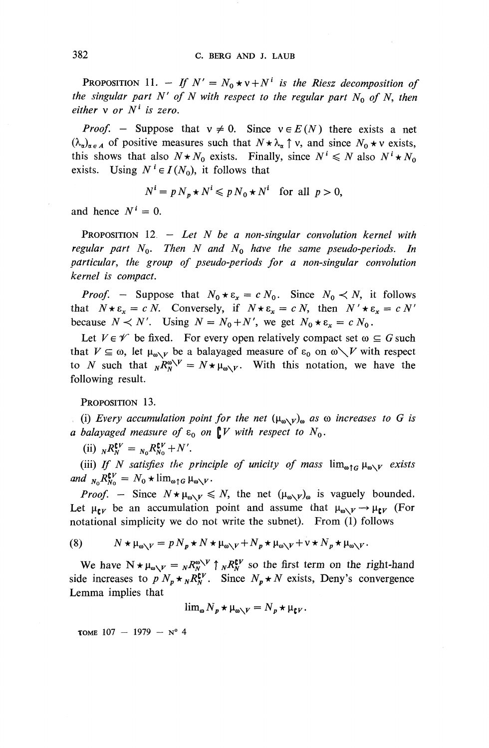PROPOSITION 11. - If  $N' = N_0 \star v + N^i$  is the Riesz decomposition of *the singular part N' of N with respect to the regular part N<sub>0</sub> of N, then either* v *or N<sup>1</sup> is zero.*

*Proof.* – Suppose that  $v \neq 0$ . Since  $v \in E(N)$  there exists a net  $(\lambda_{\alpha})_{\alpha \in A}$  of positive measures such that  $N \star \lambda_{\alpha} \uparrow v$ , and since  $N_0 \star v$  exists, this shows that also  $N \star N_0$  exists. Finally, since  $N^i \le N$  also  $N^i \star N_0$ exists. Using  $N^i \in I(N_0)$ , it follows that

$$
N^i = p N_p \star N^i \leqslant p N_0 \star N^i \quad \text{for all } p > 0,
$$

and hence  $N^i = 0$ .

PROPOSITION 12 — *Let N be a non-singular convolution kernel with regular part*  $N_0$ . Then N and  $N_0$  have the same pseudo-periods. In *particular, the group of pseudo-periods for a non-singular convolution kernel is compact.*

*Proof.* – Suppose that  $N_0 * \varepsilon_x = c N_0$ . Since  $N_0 \lt N$ , it follows that  $N \star \varepsilon_x = c N$ . Conversely, if  $N \star \varepsilon_x = c N$ , then  $N' \star \varepsilon_x = c N$ because  $N \lt N'$ . Using  $N = N_0 + N'$ , we get  $N_0 * \varepsilon_x = c N_0$ .

Let  $V \in \mathscr{V}$  be fixed. For every open relatively compact set  $\omega \subseteq G$  such that  $V \subseteq \omega$ , let  $\mu_{\omega \setminus V}$  be a balayaged measure of  $\varepsilon_0$  on  $\omega \setminus V$  with respect to *N* such that  $_{N}R^{\omega V}_{N} = N \star \mu_{\omega V}$ . With this notation, we have the following result.

PROPOSITION 13.

(i) Every accumulation point for the net  $(\mu_{\omega\setminus V})_{\omega}$  as  $\omega$  increases to G is *a balayaged measure of*  $\varepsilon_0$  *on*  $\int V$  *with respect to*  $N_0$ *.* 

(ii)  ${}_N R_N^{\mathbf{C}V} = {}_{N_0} R_{N_0}^{\mathbf{C}V} + N'.$ 

(iii) If N satisfies the principle of unicity of mass  $\lim_{\omega \uparrow G} \mu_{\omega \setminus V}$  exists *and*  $_{N_0}R_{N_0}^{\mathbf{C}V} = N_0*lim_{\omega\uparrow G}\mu_{\omega\setminus V}.$ 

*Proof.* – Since  $N \star \mu_{\omega}$   $\swarrow \leq N$ , the net  $(\mu_{\omega} \vee \nu)_{\omega}$  is vaguely bounded. Let  $\mu_{\mathbf{r}v}$  be an accumulation point and assume that  $\mu_{\mathbf{v}} \rightarrow \mu_{\mathbf{r}v}$  (For notational simplicity we do not write the subnet). From (1) follows

(8) 
$$
N \star \mu_{\omega \setminus V} = p N_p \star N \star \mu_{\omega \setminus V} + N_p \star \mu_{\omega \setminus V} + v \star N_p \star \mu_{\omega \setminus V}.
$$

We have  $N \star \mu_{\omega} = {}_{N} R_{N}^{\omega}{}^{V} \uparrow {}_{N} R_{N}^{\mathbf{t}V}$  so the first term on the right-hand side increases to  $p'N_p \star_N R_N^{\mathbf{t}V}$ . Since  $N_p \star N$  exists, Deny's convergence Lemma implies that

$$
\lim_{\omega} N_p \star \mu_{\omega \setminus V} = N_p \star \mu_{\mathfrak{f}V}.
$$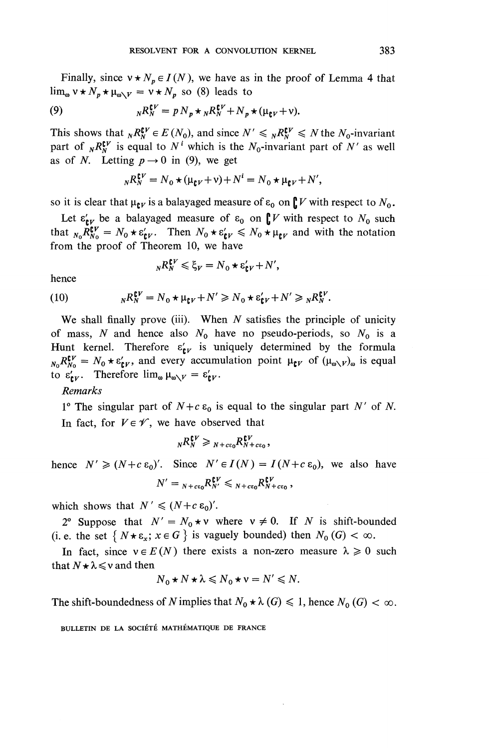Finally, since  $v \star N_p \in I(N)$ , we have as in the proof of Lemma 4 that  $\lim_{\omega} v \star N_p \star \mu_{\omega \setminus V} = v \star N_p$  so (8) leads to<br>
(9)  $N R_N^{CV} = p N_p \star N_n^{CV} + N_p$ 

(9) 
$$
{}_{N}R_{N}^{\mathbf{C}V} = p N_{p} \star {}_{N}R_{N}^{\mathbf{C}V} + N_{p} \star (\mu_{\mathbf{C}V} + \nu).
$$

This shows that  $_{N}R^{\mathbf{f} \nu}_{N} \in E(N_0)$ , and since  $N' \leq_{N}R^{\mathbf{f} \nu}_{N} \leq N$  the  $N_0$ -invariant part of  $_{N}R_{N}^{\mathbf{C}V}$  is equal to  $N^{i}$  which is the  $N_{0}$ -invariant part of  $N'$  as well as of *N*. Letting  $p \rightarrow 0$  in (9), we get

$$
{}_{N}R_{N}^{\mathfrak{C}V}=N_{0}\star(\mu_{\mathfrak{C}V}+\nu)+N^{i}=N_{0}\star\mu_{\mathfrak{C}V}+N',
$$

so it is clear that  $\mu_{\mathbf{t}V}$  is a balayaged measure of  $\varepsilon_0$  on  $\int_V V$  with respect to  $N_0$ .

Let  $\varepsilon'_{\text{EV}}$  be a balayaged measure of  $\varepsilon_0$  on  $\int V$  with respect to  $N_0$  such that  $_{N_0} R_{N_0}^V = N_0 * \epsilon'_{\mathbf{k}V}$ . Then  $N_0 * \epsilon'_{\mathbf{k}V} \leq N_0 * \mu_{\mathbf{k}V}$  and with the notation from the proof of Theorem 10, we have

$$
{}_{N}R_{N}^{\mathbf{C}V}\leqslant \xi_{V}=N_{0}\star \varepsilon_{\mathbf{C}V}'+N',
$$

hence

hence  
\n
$$
{}_{N}K_{N}^{*} \leqslant {}_{S}V = N_{0} * \varepsilon_{\mathbf{t}}V + N,
$$
\n
$$
(10) \qquad {}_{N}R_{N}^{\mathbf{t}} = N_{0} * \mu_{\mathbf{t}}V + N' \geqslant N_{0} * \varepsilon_{\mathbf{t}}V + N' \geqslant {}_{N}R_{N}^{\mathbf{t}}.
$$

**We** shall finally prove (iii). When *N* satisfies the principle of unicity of mass, N and hence also  $N_0$  have no pseudo-periods, so  $N_0$  is a Hunt kernel. Therefore  $\varepsilon'_{\text{tr}}$  is uniquely determined by the formula  $N_0 R_{N_0}^{\mathbf{F}} = N_0 \star \varepsilon'_{\mathbf{F}V}$ , and every accumulation point  $\mu_{\mathbf{F}V}$  of  $(\mu_{\omega\setminus V})_\omega$  is equal to  $\varepsilon'_{\mathbf{t}V}$ . Therefore  $\lim_{\omega \to V} = \varepsilon'_{\mathbf{t}V}$ .

**Remarks** 

1° The singular part of  $N + c \varepsilon_0$  is equal to the singular part N' of N. In fact, for  $V \in \mathscr{V}$ , we have observed that

$$
{}_{N}R_{N}^{\mathbf{C}V}\geqslant {}_{N+c\epsilon_{0}}R_{N+c\epsilon_{0}}^{\mathbf{C}V},
$$

**hence**  $N' \ge (N+c\epsilon_0)'$ . Since  $N' \in I(N) = I(N+c\epsilon_0)$ , we also have  $N' = {}_{N+c\epsilon_0}R^{\mathfrak{e}V}_{N'} \leqslant {}_{N+c\epsilon_0}R^{\mathfrak{e}V}_{N+c\epsilon_0}$ 

which shows that  $N' \leq (N+c\epsilon_0)'$ .

2° Suppose that  $N' = N_0 \star v$  where  $v \neq 0$ . If N is shift-bounded (i. e. the set  $\{N \star \varepsilon_x; x \in G\}$  is vaguely bounded) then  $N_0$  (G)  $< \infty$ .

In fact, since  $v \in E(N)$  there exists a non-zero measure  $\lambda \ge 0$  such that  $N \star \lambda \leq v$  and then

$$
N_0 \star N \star \lambda \leq N_0 \star \nu = N' \leq N.
$$

The shift-boundedness of N implies that  $N_0 \star \lambda$  (G)  $\leq 1$ , hence  $N_0$  (G)  $< \infty$ .